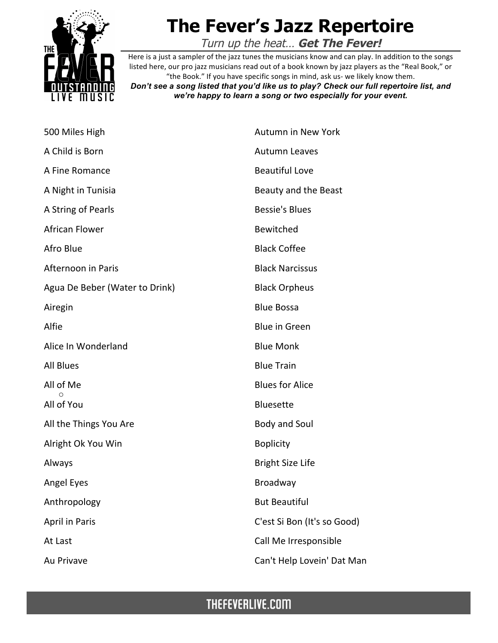

## **The Fever's Jazz Repertoire**

Turn up the heat… **Get The Fever!**

Here is a just a sampler of the jazz tunes the musicians know and can play. In addition to the songs listed here, our pro jazz musicians read out of a book known by jazz players as the "Real Book," or "the Book." If you have specific songs in mind, ask us- we likely know them.

*Don't see a song listed that you'd like us to play? Check our full repertoire list, and we're happy to learn a song or two especially for your event.*

| 500 Miles High                 | <b>Autumn in New York</b>   |
|--------------------------------|-----------------------------|
| A Child is Born                | <b>Autumn Leaves</b>        |
| A Fine Romance                 | <b>Beautiful Love</b>       |
| A Night in Tunisia             | Beauty and the Beast        |
| A String of Pearls             | <b>Bessie's Blues</b>       |
| <b>African Flower</b>          | Bewitched                   |
| Afro Blue                      | <b>Black Coffee</b>         |
| Afternoon in Paris             | <b>Black Narcissus</b>      |
| Agua De Beber (Water to Drink) | <b>Black Orpheus</b>        |
| Airegin                        | <b>Blue Bossa</b>           |
| Alfie                          | <b>Blue in Green</b>        |
| Alice In Wonderland            | <b>Blue Monk</b>            |
| <b>All Blues</b>               | <b>Blue Train</b>           |
| All of Me<br>∩                 | <b>Blues for Alice</b>      |
| All of You                     | <b>Bluesette</b>            |
| All the Things You Are         | <b>Body and Soul</b>        |
| Alright Ok You Win             | <b>Boplicity</b>            |
| Always                         | <b>Bright Size Life</b>     |
| Angel Eyes                     | <b>Broadway</b>             |
| Anthropology                   | <b>But Beautiful</b>        |
| <b>April in Paris</b>          | C'est Si Bon (It's so Good) |
| At Last                        | Call Me Irresponsible       |
| Au Privave                     | Can't Help Lovein' Dat Man  |
|                                |                             |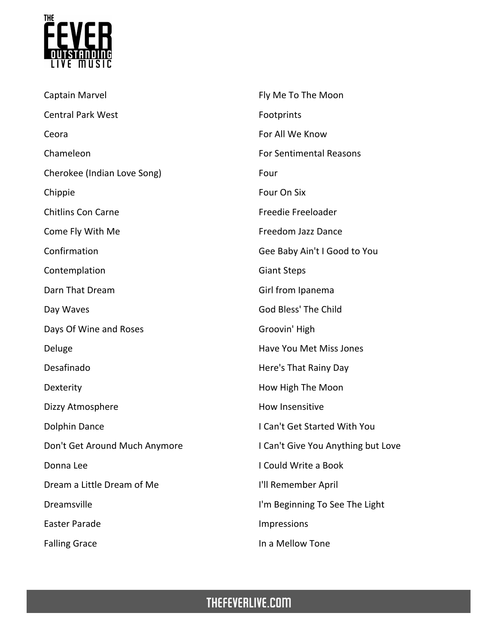

| Captain Marvel                | Fly Me To The Moon                 |
|-------------------------------|------------------------------------|
| <b>Central Park West</b>      | Footprints                         |
| Ceora                         | For All We Know                    |
| Chameleon                     | <b>For Sentimental Reasons</b>     |
| Cherokee (Indian Love Song)   | Four                               |
| Chippie                       | Four On Six                        |
| <b>Chitlins Con Carne</b>     | Freedie Freeloader                 |
| Come Fly With Me              | Freedom Jazz Dance                 |
| Confirmation                  | Gee Baby Ain't I Good to You       |
| Contemplation                 | <b>Giant Steps</b>                 |
| Darn That Dream               | Girl from Ipanema                  |
| Day Waves                     | God Bless' The Child               |
| Days Of Wine and Roses        | Groovin' High                      |
| Deluge                        | Have You Met Miss Jones            |
| Desafinado                    | Here's That Rainy Day              |
| Dexterity                     | How High The Moon                  |
| Dizzy Atmosphere              | How Insensitive                    |
| <b>Dolphin Dance</b>          | I Can't Get Started With You       |
| Don't Get Around Much Anymore | I Can't Give You Anything but Love |
| Donna Lee                     | I Could Write a Book               |
| Dream a Little Dream of Me    | I'll Remember April                |
| Dreamsville                   | I'm Beginning To See The Light     |
| <b>Easter Parade</b>          | Impressions                        |
| <b>Falling Grace</b>          | In a Mellow Tone                   |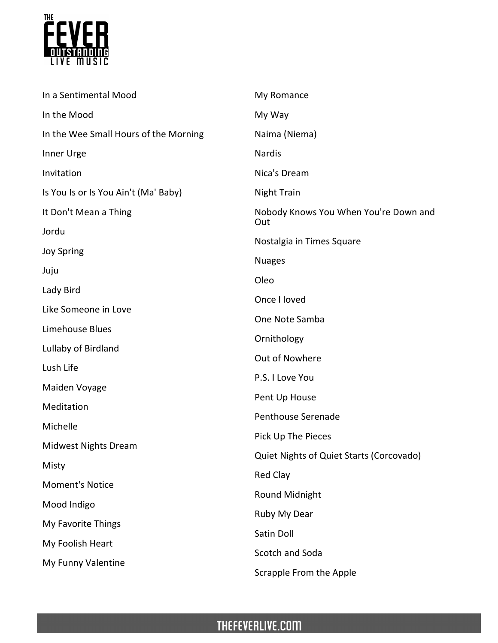

| In a Sentimental Mood                 | My Romance                                   |
|---------------------------------------|----------------------------------------------|
| In the Mood                           | My Way                                       |
| In the Wee Small Hours of the Morning | Naima (Niema)                                |
| Inner Urge                            | <b>Nardis</b>                                |
| Invitation                            | Nica's Dream                                 |
| Is You Is or Is You Ain't (Ma' Baby)  | <b>Night Train</b>                           |
| It Don't Mean a Thing                 | Nobody Knows You When You're Down and<br>Out |
| Jordu                                 | Nostalgia in Times Square                    |
| <b>Joy Spring</b>                     | <b>Nuages</b>                                |
| Juju                                  | Oleo                                         |
| Lady Bird                             | Once I loved                                 |
| Like Someone in Love                  | One Note Samba                               |
| Limehouse Blues                       |                                              |
| Lullaby of Birdland                   | Ornithology                                  |
| Lush Life                             | Out of Nowhere                               |
| Maiden Voyage                         | P.S. I Love You                              |
| Meditation                            | Pent Up House                                |
| Michelle                              | Penthouse Serenade                           |
| <b>Midwest Nights Dream</b>           | Pick Up The Pieces                           |
| Misty                                 | Quiet Nights of Quiet Starts (Corcovado)     |
|                                       | <b>Red Clay</b>                              |
| <b>Moment's Notice</b>                | Round Midnight                               |
| Mood Indigo                           | Ruby My Dear                                 |
| My Favorite Things                    | Satin Doll                                   |
| My Foolish Heart                      | Scotch and Soda                              |
| My Funny Valentine                    | Scrapple From the Apple                      |